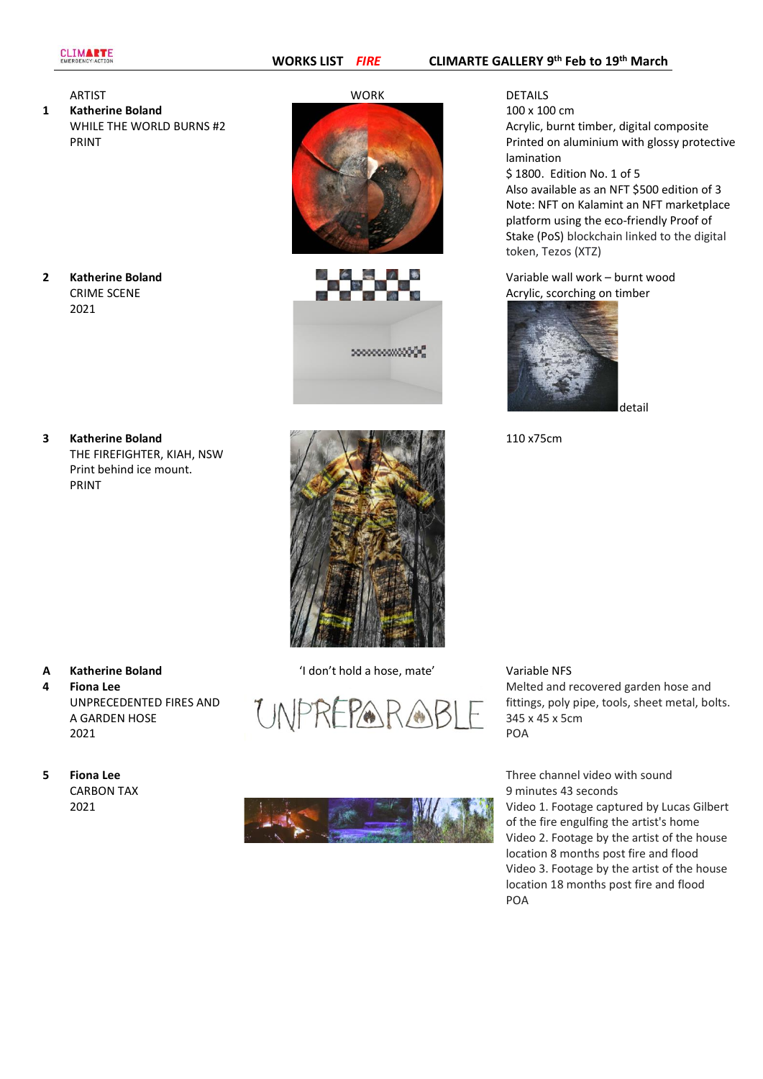**2 Katherine Boland** CRIME SCENE

2021

**1 Katherine Boland** WHILE THE WORLD BURNS #2 PRINT

- ARTIST WORK DETAILS
	- >>>>>>>>>>>>>>><mark>></mark>

100 x 100 cm Acrylic, burnt timber, digital composite Printed on aluminium with glossy protective lamination \$ 1800. Edition No. 1 of 5 Also available as an NFT \$500 edition of 3

Note: NFT on Kalamint an NFT marketplace platform using the eco-friendly Proof of Stake (PoS) blockchain linked to the digital token, Tezos (XTZ)

Variable wall work – burnt wood Acrylic, scorching on timber



110 x75cm

**3 Katherine Boland** THE FIREFIGHTER, KIAH, NSW Print behind ice mount. PRINT



- **4 Fiona Lee** UNPRECEDENTED FIRES AND A GARDEN HOSE 2021
- **5 Fiona Lee** CARBON TAX 2021

**A Katherine Boland** 'I don't hold a hose, mate' Variable NFS





Melted and recovered garden hose and fittings, poly pipe, tools, sheet metal, bolts. 345 x 45 x 5cm POA

Three channel video with sound 9 minutes 43 seconds Video 1. Footage captured by Lucas Gilbert of the fire engulfing the artist's home Video 2. Footage by the artist of the house location 8 months post fire and flood Video 3. Footage by the artist of the house location 18 months post fire and flood POA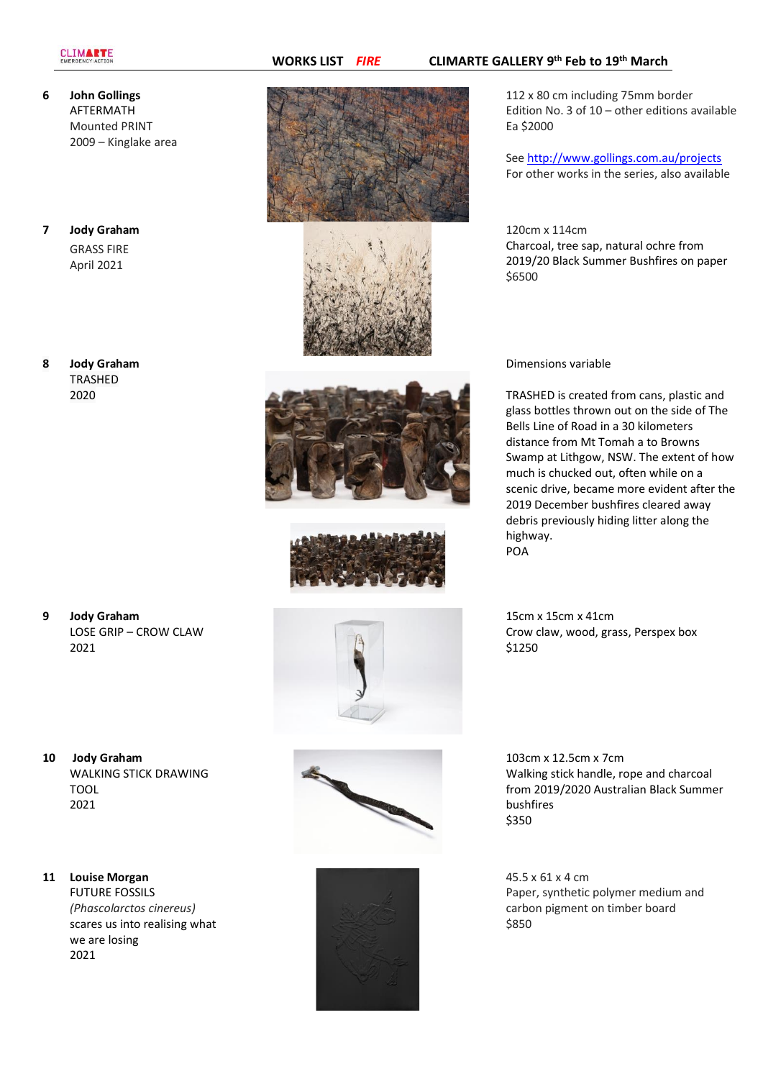## **CLIMARTE**

- **6 John Gollings** AFTERMATH Mounted PRINT 2009 – Kinglake area
- **7 Jody Graham** GRASS FIRE April 2021
- **8 Jody Graham TRASHED** 2020

- **9 Jody Graham** LOSE GRIP – CROW CLAW 2021
- **10 Jody Graham** WALKING STICK DRAWING TOOL 2021

## **11 Louise Morgan** FUTURE FOSSILS *(Phascolarctos cinereus)* scares us into realising what we are losing

2021







112 x 80 cm including 75mm border Edition No. 3 of 10 – other editions available Ea \$2000

Se[e http://www.gollings.com.au/projects](http://www.gollings.com.au/projects) For other works in the series, also available

120cm x 114cm Charcoal, tree sap, natural ochre from 2019/20 Black Summer Bushfires on paper \$6500

Dimensions variable

TRASHED is created from cans, plastic and glass bottles thrown out on the side of The Bells Line of Road in a 30 kilometers distance from Mt Tomah a to Browns Swamp at Lithgow, NSW. The extent of how much is chucked out, often while on a scenic drive, became more evident after the 2019 December bushfires cleared away debris previously hiding litter along the highway. POA

15cm x 15cm x 41cm Crow claw, wood, grass, Perspex box \$1250



45.5 x 61 x 4 cm Paper, synthetic polymer medium and carbon pigment on timber board \$850

## **WORKS LIST** *FIRE* **CLIMARTE GALLERY 9 th Feb to 19th March**